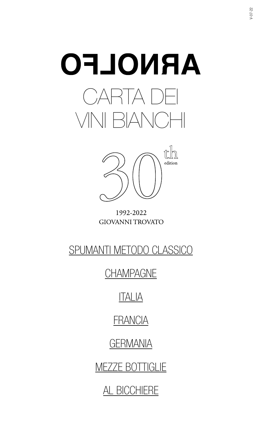



1992-2022 **GIOVANNI TROVATO** 

# [SPUMANTI METODO CLASSICO](#page-1-0)

**[CHAMPAGNE](#page-1-0)** 

# [ITALIA](#page-3-0)

# **[FRANCIA](#page-6-0)**

[GERMANIA](#page-8-0)

[MEZZE BOTTIGLIE](#page-9-0)

[AL BICCHIERE](#page-9-0)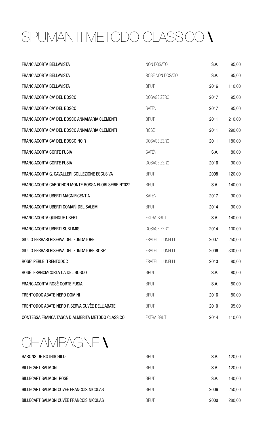# <span id="page-1-0"></span>SPUMANTI METODO CLASSICO \

| FRANCIACORTA BELLAVISTA                             | NON DOSATO              | S.A. | 95,00  |
|-----------------------------------------------------|-------------------------|------|--------|
| <b>FRANCIACORTA BELLAVISTA</b>                      | ROSÉ NON DOSATO         | S.A. | 95,00  |
| FRANCIACORTA BELLAVISTA                             | <b>BRUT</b>             | 2016 | 110,00 |
| FRANCIACORTA CA' DEL BOSCO                          | DOSAGE ZERO             | 2017 | 95,00  |
| FRANCIACORTA CA' DEL BOSCO                          | <b>SATEN</b>            | 2017 | 95,00  |
| FRANCIACORTA CA' DEL BOSCO ANNAMARIA CLEMENTI       | <b>BRUT</b>             | 2011 | 210,00 |
| FRANCIACORTA CA' DEL BOSCO ANNAMARIA CLEMENTI       | ROSE'                   | 2011 | 290,00 |
| FRANCIACORTA CA' DEL BOSCO NOIR                     | DOSAGE ZERO             | 2011 | 180,00 |
| <b>FRANCIACORTA CORTE FUSIA</b>                     | <b>SATÉN</b>            | S.A. | 80,00  |
| <b>FRANCIACORTA CORTE FUSIA</b>                     | DOSAGE ZERO             | 2016 | 90,00  |
| FRANCIACORTA G. CAVALLERI COLLEZIONE ESCUSIVA       | <b>BRUT</b>             | 2008 | 120,00 |
| FRANCIACORTA CABOCHON MONTE ROSSA FUORI SERIE N°022 | <b>BRUT</b>             | S.A. | 140,00 |
| FRANCIACORTA UBERTI MAGNIFICENTIA                   | <b>SATEN</b>            | 2017 | 90,00  |
| FRANCIACORTA UBERTI COMARÌ DEL SALEM                | <b>BRUT</b>             | 2014 | 90,00  |
| <b>FRANCIACORTA QUINQUE UBERTI</b>                  | <b>EXTRA BRUT</b>       | S.A. | 140,00 |
| <b>FRANCIACORTA UBERTI SUBLIMIS</b>                 | <b>DOSAGE ZERO</b>      | 2014 | 100,00 |
| GIULIO FERRARI RISERVA DEL FONDATORE                | <b>FRATELLI LUNELLI</b> | 2007 | 250,00 |
| GIULIO FERRARI RISERVA DEL FONDATORE ROSE'          | <b>FRATELLI LUNELLI</b> | 2006 | 300,00 |
| ROSE' PERLE' TRENTODOC                              | <b>FRATELLI LUNELLI</b> | 2013 | 80,00  |
| ROSÉ FRANCIACORTA CA DEL BOSCO                      | <b>BRUT</b>             | S.A. | 80,00  |
| FRANCIACORTA ROSÈ CORTE FUSIA                       | <b>BRUT</b>             | S.A. | 80,00  |
| TRENTODOC ABATE NERO DOMINI                         | <b>BRUT</b>             | 2016 | 80,00  |
| TRENTODOC ABATE NERO RISERVA CUVÈE DELL'ABATE       | <b>BRUT</b>             | 2010 | 95,00  |
| CONTESSA FRANCA TASCA D'ALMERITA METODO CLASSICO    | <b>EXTRA BRUT</b>       | 2014 | 110,00 |

CHAMPAGNE \

| <b>BARONS DE ROTHSCHILD</b>             | <b>BRUT</b> | S.A. | 120,00 |
|-----------------------------------------|-------------|------|--------|
| <b>BILLECART SALMON</b>                 | <b>BRUT</b> | S.A. | 120,00 |
| BILLECART SALMON ROSÉ                   | <b>BRUT</b> | S.A. | 140,00 |
| BILLECART SALMON CUVÈE FRANCOIS NICOLAS | <b>BRUT</b> | 2006 | 250,00 |
| BILLECART SALMON CUVÈE FRANCOIS NICOLAS | <b>BRUT</b> | 2000 | 280,00 |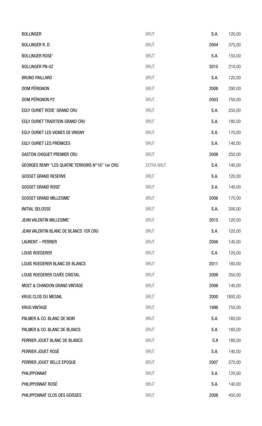| <b>BOLLINGER</b>                                | <b>BRUT</b>       | S.A. | 120,00  |
|-------------------------------------------------|-------------------|------|---------|
| <b>BOLLINGER R.D.</b>                           | <b>BRUT</b>       | 2004 | 375,00  |
| <b>BOLLINGER ROSE'</b>                          | <b>BRUT</b>       | S.A. | 150,00  |
| <b>BOLLINGER PN-VZ</b>                          | <b>BRUT</b>       | 2015 | 210,00  |
| <b>BRUNO PAILLARD</b>                           | <b>BRUT</b>       | S.A. | 120,00  |
| <b>DOM PÉRIGNON</b>                             | <b>BRUT</b>       | 2008 | 290,00  |
| DOM PÉRIGNON P2                                 | <b>BRUT</b>       | 2003 | 750,00  |
| EGLY OURIET ROSE' GRAND CRU                     | <b>BRUT</b>       | S.A. | 250,00  |
| EGLY OURIET TRADITION GRAND CRU                 | <b>BRUT</b>       | S.A. | 180,00  |
| EGLY OURIET LES VIGNES DE VRIGNY                | <b>BRUT</b>       | S.A. | 170,00  |
| <b>EGLY OURIET LES PRÉMICES</b>                 | <b>BRUT</b>       | S.A. | 140,00  |
| <b>GASTON CHIQUET PREMIER CRU</b>               | <b>BRUT</b>       | 2008 | 250,00  |
| GEORGES REMY "LES QUATRE TERROIRS N°18" 1er CRU | <b>EXTRA BRUT</b> | S.A. | 140,00  |
| <b>GOSSET GRAND RESERVE</b>                     | <b>BRUT</b>       | S.A. | 120,00  |
| <b>GOSSET GRAND ROSE'</b>                       | <b>BRUT</b>       | S.A. | 140,00  |
| <b>GOSSET GRAND MILLESIME'</b>                  | <b>BRUT</b>       | 2006 | 170,00  |
| <b>INITIAL SELOSSE</b>                          | <b>BRUT</b>       | S.A. | 300,00  |
| <b>JEAN VALENTIN MILLESIME'</b>                 | <b>BRUT</b>       | 2015 | 120,00  |
| JEAN VALENTIN BLANC DE BLANCS 1ER CRU           | <b>BRUT</b>       | S.A. | 120,00  |
| <b>LAURENT - PERRIER</b>                        | <b>BRUT</b>       | 2006 | 140,00  |
| <b>LOUIS ROEDERER</b>                           | <b>BRUT</b>       | S.A. | 120,00  |
| LOUIS ROEDERER BLANC DE BLANCS                  | <b>BRUT</b>       | 2011 | 160,00  |
| LOUIS ROEDERER CUVÈE CRISTAL                    | <b>BRUT</b>       | 2009 | 350,00  |
| <b>MOET &amp; CHANDON GRAND VINTAGE</b>         | <b>BRUT</b>       | 2006 | 140,00  |
| <b>KRUG CLOS DU MESNIL</b>                      | <b>BRUT</b>       | 2000 | 1800,00 |
| <b>KRUG VINTAGE</b>                             | <b>BRUT</b>       | 1996 | 750,00  |
| PALMER & CO. BLANC DE NOIR                      | <b>BRUT</b>       | S.A. | 160,00  |
| PALMER & CO. BLANC DE BLANCS                    | <b>BRUT</b>       | S.A. | 160,00  |
| PERRIER JOUET BLANC DE BLANCS                   | <b>BRUT</b>       | S.A  | 180,00  |
| PERRIER JOUET ROSÉ                              | <b>BRUT</b>       | S.A. | 140,00  |
| PERRIER JOUET BELLE EPOQUE                      | <b>BRUT</b>       | 2007 | 270,00  |
| PHILIPPONNAT                                    | <b>BRUT</b>       | S.A. | 120,00  |
| PHILIPPONNAT ROSÉ                               | <b>BRUT</b>       | S.A. | 140,00  |
| PHILIPPONNAT CLOS DES GOISSES                   | <b>BRUT</b>       | 2008 | 450,00  |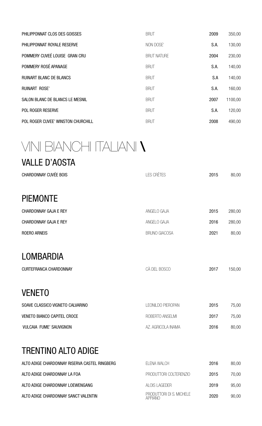<span id="page-3-0"></span>

| PHILIPPONNAT CLOS DES GOISSES          | <b>BRUT</b>        | 2009 | 350,00  |
|----------------------------------------|--------------------|------|---------|
| PHILIPPONNAT ROYALE RESERVE            | NON DOSE'          | S.A. | 130,00  |
| POMMERY CUVEÉ LOUISE GRAN CRU          | <b>BRUT NATURE</b> | 2004 | 230,00  |
| POMMERY ROSÉ APANAGE                   | <b>BRUT</b>        | S.A. | 140,00  |
| <b>RUINART BLANC DE BLANCS</b>         | <b>BRUT</b>        | S.A  | 140,00  |
| <b>RUINART ROSE'</b>                   | <b>BRUT</b>        | S.A. | 160,00  |
| <b>SALON BLANC DE BLANCS LE MESNIL</b> | <b>BRUT</b>        | 2007 | 1100,00 |
| <b>POL ROGER RESERVE</b>               | <b>BRUT</b>        | S.A. | 120,00  |
| POL ROGER CUVEE' WINSTON CHURCHILL     | <b>BRUT</b>        | 2008 | 490,00  |

# VINI BIANCHI ITALIANI \

| <b>VALLE D'AOSTA</b>          |                      |      |        |
|-------------------------------|----------------------|------|--------|
| <b>CHARDONNAY CUVÉE BOIS</b>  | <b>LES CRÈTES</b>    | 2015 | 80,00  |
|                               |                      |      |        |
| <b>PIEMONTE</b>               |                      |      |        |
| <b>CHARDONNAY GAJA E REY</b>  | ANGELO GAJA          | 2015 | 280,00 |
| <b>CHARDONNAY GAJA E REY</b>  | ANGELO GAJA          | 2016 | 280,00 |
| <b>ROERO ARNEIS</b>           | <b>BRUNO GIACOSA</b> | 2021 | 80,00  |
|                               |                      |      |        |
| <b>LOMBARDIA</b>              |                      |      |        |
| <b>CURTEFRANCA CHARDONNAY</b> | CÀ DEL BOSCO         | 2017 | 150,00 |

### VENETO

| SOAVE CLASSICO VIGNETO CALVARINO | LEONILDO PIEROPAN  | 2015 | 75,00 |
|----------------------------------|--------------------|------|-------|
| VENETO BIANCO CAPITEL CROCE      | ROBERTO ANSELMI    | 2017 | 75,00 |
| VULCAIA FUME' SAUVIGNON          | AZ. AGRICOLA INAMA | 2016 | 80,00 |

### TRENTINO ALTO ADIGE

| ALTO ADIGE CHARDONNAY RISERVA CASTEL RINGBERG | ELENA WALCH                                | 2016 | 80,00 |
|-----------------------------------------------|--------------------------------------------|------|-------|
| ALTO ADIGE CHARDONNAY LA FOA                  | PRODUTTORI COLTERENZIO                     | 2015 | 70,00 |
| ALTO ADIGE CHARDONNAY LOEWENGANG              | ALOIS LAGEDER                              | 2019 | 95,00 |
| ALTO ADIGE CHARDONNAY SANCT VALENTIN          | PRODUTTORI DI S. MICHELE<br><b>APPIANO</b> | 2020 | 90,00 |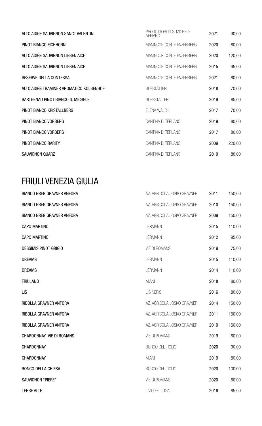| ALTO ADIGE SAUVIGNON SANCT VALENTIN      | PRODUTTORI DI S. MICHELE<br><b>APPIANO</b> | 2021 | 90,00  |
|------------------------------------------|--------------------------------------------|------|--------|
| PINOT BIANCO EICHHORN                    | MANINCOR CONTE ENZENBERG                   | 2020 | 80,00  |
| ALTO ADIGE SAUVIGNON LIEBEN AICH         | MANINCOR CONTE ENZENBERG                   | 2020 | 120,00 |
| ALTO ADIGE SAUVIGNON LIEBEN AICH         | MANINCOR CONTE ENZENBERG                   | 2015 | 95,00  |
| RESERVE DELLA CONTESSA                   | MANINCOR CONTE ENZENBERG                   | 2021 | 80,00  |
| ALTO ADIGE TRAMINER AROMATICO KOLBENHOF  | <b>HOFSTATTER</b>                          | 2018 | 70,00  |
| <b>BARTHENAU PINOT BIANCO S. MICHELE</b> | <b>HOFFSTATTER</b>                         | 2019 | 85,00  |
| PINOT BIANCO KRISTALLBERG                | ELENA WALCH                                | 2017 | 70,00  |
| PINOT BIANCO VORBERG                     | CANTINA DI TERLANO                         | 2019 | 80,00  |
| PINOT BIANCO VORBERG                     | CANTINA DI TERLANO                         | 2017 | 80,00  |
| PINOT BIANCO RARITY                      | CANTINA DI TERLANO                         | 2009 | 220,00 |
| SAUVIGNON QUARZ                          | CANTINA DI TERLANO                         | 2019 | 80,00  |

### FRIULI VENEZIA GIULIA

| <b>BIANCO BREG GRAVNER ANFORA</b> | AZ. AGRICOLA JOSKO GRAVNER | 2011 | 150,00 |
|-----------------------------------|----------------------------|------|--------|
| <b>BIANCO BREG GRAVNER ANFORA</b> | AZ. AGRICOLA JOSKO GRAVNER | 2010 | 150,00 |
| <b>BIANCO BREG GRAVNER ANFORA</b> | AZ. AGRICOLA JOSKO GRAVNER | 2009 | 150,00 |
| <b>CAPO MARTINO</b>               | <b>JERMANN</b>             | 2015 | 110,00 |
| <b>CAPO MARTINO</b>               | <b>JERMANN</b>             | 2012 | 95,00  |
| <b>DESSIMIS PINOT GRIGIO</b>      | <b>VIE DI ROMANS</b>       | 2019 | 75,00  |
| <b>DREAMS</b>                     | <b>JERMANN</b>             | 2015 | 110,00 |
| <b>DREAMS</b>                     | <b>JERMANN</b>             | 2014 | 110,00 |
| <b>FRIULANO</b>                   | <b>MIANI</b>               | 2018 | 80,00  |
| <b>LIS</b>                        | <b>LIS NERIS</b>           | 2016 | 80,00  |
| RIBOLLA GRAVNER ANFORA            | AZ. AGRICOLA JOSKO GRAVNER | 2014 | 150,00 |
| RIBOLLA GRAVNER ANFORA            | AZ. AGRICOLA JOSKO GRAVNER | 2011 | 150,00 |
| RIBOLLA GRAVNER ANFORA            | AZ. AGRICOLA JOSKO GRAVNER | 2010 | 150,00 |
| <b>CHARDONNAY VIE DI ROMANS</b>   | <b>VIE DI ROMANS</b>       | 2019 | 80,00  |
| CHARDONNAY                        | <b>BORGO DEL TIGLIO</b>    | 2020 | 90,00  |
| CHARDONNAY                        | <b>MIANI</b>               | 2019 | 80,00  |
| RONCO DELLA CHIESA                | <b>BORGO DEL TIGLIO</b>    | 2020 | 130,00 |
| <b>SAUVIGNON "PIERE"</b>          | <b>VIE DI ROMANS</b>       | 2020 | 80,00  |
| <b>TERRE ALTE</b>                 | LIVIO FELLUGA              | 2016 | 85,00  |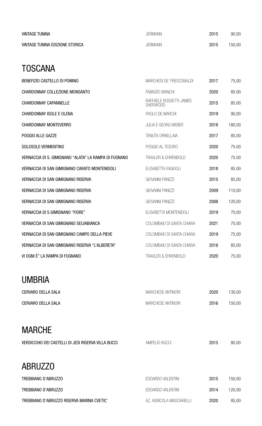| <b>VINTAGE TUNINA</b>           | <b>JERMANN</b> | 2015 | 90,00  |
|---------------------------------|----------------|------|--------|
| VINTAGE TUNINA EDIZIONE STORICA | <b>JERMANN</b> | 2015 | 150,00 |

### **TOSCANA**

| BENEFIZIO CASTELLO DI POMINO                          | MARCHESI DE' FRESCOBALDI                   | 2017 | 75,00  |
|-------------------------------------------------------|--------------------------------------------|------|--------|
| CHARDONNAY COLLEZIONE MONSANTO                        | <b>FABRIZIO BIANCHI</b>                    | 2020 | 85.00  |
| <b>CHARDONNAY CAPANNELLE</b>                          | RAFFAELE ROSSETTI-JAMES<br><b>SHERWOOD</b> | 2015 | 85.00  |
| <b>CHARDONNAY ISOLE E OLENA</b>                       | PAOLO DE MARCHI                            | 2019 | 90,00  |
| <b>CHARDONNAY MONTEVERRO</b>                          | <b>JULIA E GEORG WEBER</b>                 | 2018 | 180,00 |
| POGGIO ALLE GAZZE                                     | <b>TENUTA ORNELLAIA</b>                    | 2017 | 85.00  |
| SOLOSOLE VERMENTINO                                   | POGGIO AL TESORO                           | 2020 | 75.00  |
| VERNACCIA DI S. GIMIGNANO "ALATA" LA RAMPA DI FUGNANO | <b>TRAXLER &amp; EHRENBOLD</b>             | 2020 | 75.00  |
| VERNACCIA DI SAN GIMIGNANO CARATO MONTENIDOLI         | ELISABETTA FAGIUOLI                        | 2018 | 85.00  |
| <b>VERNACCIA DI SAN GIMIGNANO RISERVA</b>             | <b>GIOVANNI PANIZZI</b>                    | 2015 | 85,00  |
| <b>VERNACCIA DI SAN GIMIGNANO RISERVA</b>             | <b>GIOVANNI PANIZZI</b>                    | 2009 | 110,00 |
| <b>VERNACCIA DI SAN GIMIGNANO RISERVA</b>             | <b>GIOVANNI PANIZZI</b>                    | 2008 | 120,00 |
| <b>VERNACCIA DI S.GIMIGNANO "FIORE"</b>               | ELISABETTA MONTENIDOLI                     | 2019 | 70,00  |
| VERNACCIA DI SAN GIMIGNANO SELVABIANCA                | COLOMBAIO DI SANTA CHIARA                  | 2021 | 70,00  |
| VERNACCIA DI SAN GIMIGNANO CAMPO DELLA PIEVE          | COLOMBAIO DI SANTA CHIARA                  | 2019 | 75,00  |
| VERNACCIA DI SAN GIMIGNANO RISERVA "L'ALBERETA"       | COLOMBAIO DI SANTA CHIARA                  | 2018 | 85,00  |
| VI OGNI È" LA RAMPA DI FUGNANO                        | TRAXLER & EHRENBOLD                        | 2020 | 75,00  |

### UMBRIA

| <b>CERVARO DELLA SALA</b> | MARCHESE ANTINORI | 2020 | 130,00 |
|---------------------------|-------------------|------|--------|
| <b>CERVARO DELLA SALA</b> | MARCHESE ANTINORI | 2016 | 150,00 |

## MARCHE

| VERDICCHIO DEI CASTELLI DI JESI RISERVA VILLA BUCCI | <b>AMPELIO BUCC</b> | 30.OC |
|-----------------------------------------------------|---------------------|-------|

### ABRUZZO

| TREBBIANO D'ABRUZZO                        | EDOARDO VALENTINI        | 2015 | 150,00 |
|--------------------------------------------|--------------------------|------|--------|
| TREBBIANO D'ABRUZZO                        | EDOARDO VALENTINI        | 2014 | 120.00 |
| TREBBIANO D'ABRUZZO RISERVA MARINA CVETIC' | AZ, AGRICOLA MASCIARELLI | 2020 | 85,00  |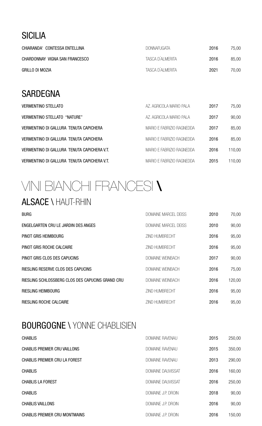### <span id="page-6-0"></span>**SICILIA**

| CHIARANDA' CONTESSA ENTELLINA  | <b>DONNAFUGATA</b> | 2016 | 75.00 |
|--------------------------------|--------------------|------|-------|
| CHARDONNAY VIGNA SAN FRANCESCO | TASCA D'ALMERITA   | 2016 | 85,00 |
| GRILLO DI MOZIA                | TASCA D'ALMERITA   | 2021 | 70,00 |

### SARDEGNA

| <b>VERMENTINO STELLATO</b>                  | AZ, AGRICOLA MARIO PALA   | 2017 | 75,00  |
|---------------------------------------------|---------------------------|------|--------|
| VERMENTINO STELLATO "NATURE"                | AZ, AGRICOLA MARIO PALA   | 2017 | 90,00  |
| VERMENTINO DI GALLURA TENUTA CAPICHERA      | MARIO E FABRIZIO RAGNEDDA | 2017 | 85,00  |
| VERMENTINO DI GALLURA TENUTA CAPICHERA      | MARIO E FABRIZIO RAGNEDDA | 2016 | 85,00  |
| VERMENTINO DI GALLURA TENUTA CAPICHERA V.T. | MARIO E FABRIZIO RAGNEDDA | 2016 | 110,00 |
| VERMENTINO DI GALLURA TENUTA CAPICHERA V.T. | MARIO E FABRIZIO RAGNEDDA | 2015 | 110,00 |

# VINI BIANCHI FRANCESI **\** ALSACE \ HAUT-RHIN

### BURG BURG DOMAINE MARCEL DEISS 2010 70,00 ENGELGARTEN CRU LE JARDIN DES ANGES **ENGELGARTEN CRU LE JARDIN DES ANGES DOMAINE MARCEL DEISS** 2010 90,00 PINOT GRIS HEIMBOURG **EXECUTE:** 2016 95,00 PINOT GRIS ROCHE CALCAIRE **EXECUTE AND SEXUAL CALCANATE CONTROL** ZIND HUMBRECHT **2016** 95,00 PINOT GRIS CLOS DES CAPUCINS DOMAINE WEINBACH 2017 90,00 RIESLING RESERVE CLOS DES CAPUCINS **EXECUCIONS** DOMAINE WEINBACH 2016 75,00 RIESLING SCHLOSSBERG CLOS DES CAPUCINS GRAND CRU DOMAINE WEINBACH 2016 120,00 RIESLING HEIMBOURG **EIND SUITE SERVICES AND SERVICES AND HUMBRECHT** 2016 95,00 RIESLING ROCHE CALCAIRE **EXECUTE AND SUBSEX 1999**,00

## BOURGOGNE \ YONNE CHABLISIEN

| <b>CHABLIS</b>                       | <b>DOMAINE RAVENAU</b>   | 2015 | 250,00 |
|--------------------------------------|--------------------------|------|--------|
| <b>CHABLIS PREMIER CRU VAILLONS</b>  | <b>DOMAINE RAVENAU</b>   | 2015 | 350,00 |
| <b>CHABLIS PREMIER CRU LA FOREST</b> | <b>DOMAINE RAVENAU</b>   | 2013 | 290,00 |
| <b>CHABLIS</b>                       | <b>DOMAINE DAUVISSAT</b> | 2016 | 160,00 |
| <b>CHABLIS LA FOREST</b>             | <b>DOMAINE DAUVISSAT</b> | 2016 | 250,00 |
| <b>CHABLIS</b>                       | DOMAINE J.P. DROIN       | 2018 | 90,00  |
| <b>CHABLIS VAILLONS</b>              | DOMAINE J.P. DROIN       | 2016 | 90,00  |
| <b>CHABLIS PREMIER CRU MONTMAINS</b> | DOMAINE J.P. DROIN       | 2016 | 150,00 |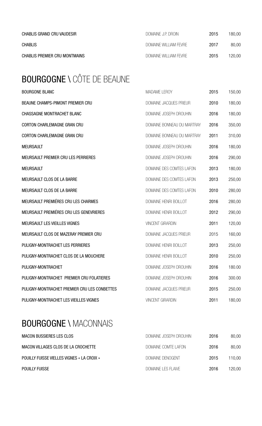<span id="page-7-0"></span>

| CHABLIS GRAND CRU VAUDESIR    | DOMAINE J.P. DROIN    | 2015 | 180.00 |
|-------------------------------|-----------------------|------|--------|
| <b>CHABLIS</b>                | DOMAINE WILLIAM FEVRE | 2017 | 80,00  |
| CHABLIS PREMIER CRU MONTMAINS | DOMAINE WILLIAM FEVRE | 2015 | 120,00 |

# BOURGOGNE \ CÔTE DE BEAUNE

| <b>BOURGONE BLANC</b>                        | <b>MADAME LEROY</b>           | 2015 | 150,00 |
|----------------------------------------------|-------------------------------|------|--------|
| <b>BEAUNE CHAMPS-PIMONT PREMIER CRU</b>      | <b>DOMAINE JACQUES PRIEUR</b> | 2010 | 180,00 |
| <b>CHASSAGNE MONTRACHET BLANC</b>            | DOMAINE JOSEPH DROUHIN        | 2016 | 180,00 |
| <b>CORTON CHARLEMAGNE GRAN CRU</b>           | DOMAINE BONNEAU DU MARTRAY    | 2016 | 350,00 |
| <b>CORTON CHARLEMAGNE GRAN CRU</b>           | DOMAINE BONNEAU DU MARTRAY    | 2011 | 310,00 |
| <b>MEURSAULT</b>                             | DOMAINE JOSEPH DROUHIN        | 2016 | 180,00 |
| MEURSAULT PREMIER CRU LES PERRIERES          | DOMAINE JOSEPH DROUHIN        | 2016 | 290,00 |
| <b>MEURSAULT</b>                             | DOMAINE DES COMTES LAFON      | 2013 | 180,00 |
| MEURSAULT CLOS DE LA BARRE                   | DOMAINE DES COMTES LAFON      | 2013 | 250,00 |
| MEURSAULT CLOS DE LA BARRE                   | DOMAINE DES COMTES LAFON      | 2010 | 280,00 |
| MEURSAULT PREMIÉRES CRU LES CHARMES          | DOMAINE HENRI BOILLOT         | 2016 | 280,00 |
| MEURSAULT PREMIÉRES CRU LES GENEVRIERES      | DOMAINE HENRI BOILLOT         | 2012 | 290,00 |
| MEURSAULT LES VIEILLES VIGNES                | <b>VINCENT GIRARDIN</b>       | 2011 | 120,00 |
| MEURSAULT CLOS DE MAZERAY PREMIER CRU        | <b>DOMAINE JACQUES PRIEUR</b> | 2015 | 160,00 |
| PULIGNY-MONTRACHET LES PERRIERES             | DOMAINE HENRI BOILLOT         | 2013 | 250,00 |
| PULIGNY-MONTRACHET CLOS DE LA MOUCHERE       | DOMAINE HENRI BOILLOT         | 2010 | 250,00 |
| PULIGNY-MONTRACHET                           | DOMAINE JOSEPH DROUHIN        | 2016 | 180.00 |
| PULIGNY-MONTRACHET PREMIER CRU FOLATIERES    | DOMAINE JOSEPH DROUHIN        | 2016 | 300.00 |
| PULIGNY-MONTRACHET PREMIER CRU LES CONBETTES | <b>DOMAINE JACQUES PRIEUR</b> | 2015 | 250,00 |
| PULIGNY-MONTRACHET LES VIEILLES VIGNES       | <b>VINCENT GIRARDIN</b>       | 2011 | 180,00 |

### **BOURGOGNE \ MACONNAIS**

| <b>MACON BUSSIERES LES CLOS</b>                   | DOMAINE JOSEPH DROUHIN    | 2016 | 80,00  |
|---------------------------------------------------|---------------------------|------|--------|
| MACON VILLAGES CLOS DE LA CROCHETTE               | DOMAINE COMTE LAFON       | 2016 | 80,00  |
| <b>POUILLY FUISSE VIELLES VIGNES « LA CROIX »</b> | DOMAINE DENOGENT          | 2015 | 110.00 |
| <b>POUILLY FUISSE</b>                             | <b>DOMAINE LES FLAIVE</b> | 2016 | 120,00 |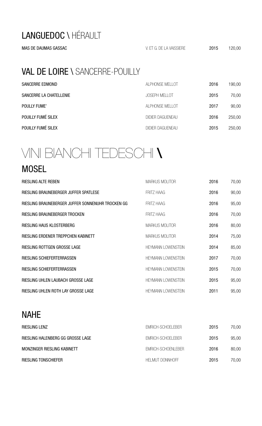## <span id="page-8-0"></span>LANGUEDOC \ HÉRAULT

## VAL DE LOIRE \ SANCERRE-POUILLY

| <b>SANCERRE EDMOND</b>  | ALPHONSE MELLOT         | 2016 | 190,00 |
|-------------------------|-------------------------|------|--------|
| SANCERRE LA CHATELLENIE | <b>JOSEPH MELLOT</b>    | 2015 | 70,00  |
| <b>POULLY FUME'</b>     | ALPHONSE MELLOT         | 2017 | 90,00  |
| POUILLY FUMÉ SILEX      | <b>DIDIER DAGUENEAU</b> | 2016 | 250,00 |
| POUILLY FUMÉ SILEX      | <b>DIDIER DAGUENEAU</b> | 2015 | 250,00 |

# VINI BIANCHI TEDESCHI \

#### MOSEL

| <b>RIESLING ALTE REBEN</b>                        | <b>MARKUS MOLITOR</b>     | 2016 | 70,00 |
|---------------------------------------------------|---------------------------|------|-------|
| RIESLING BRAUNEBERGER JUFFER SPATLESE             | <b>FRITZ HAAG</b>         | 2016 | 90,00 |
| RIESLING BRAUNEBERGER JUFFER SONNENUHR TROCKEN GG | <b>FRITZ HAAG</b>         | 2016 | 95,00 |
| RIESLING BRAUNEBERGER TROCKEN                     | <b>FRITZ HAAG</b>         | 2016 | 70,00 |
| RIESLING HAUS KLOSTERBERG                         | <b>MARKUS MOLITOR</b>     | 2016 | 80,00 |
| RIESLING ERDENER TREPPCHEN KABINETT               | <b>MARKUS MOLITOR</b>     | 2014 | 75,00 |
| RIESLING ROTTGEN GROSSE LAGE                      | <b>HEYMANN LOWENSTEIN</b> | 2014 | 85,00 |
| <b>RIESLING SCHIEFERTERRASSEN</b>                 | <b>HEYMANN LOWENSTEIN</b> | 2017 | 70,00 |
| RIESLING SCHIEFERTERRASSEN                        | <b>HEYMANN LOWENSTEIN</b> | 2015 | 70,00 |
| RIESLING UHLEN LAUBACH GROSSE LAGE                | <b>HEYMANN LOWENSTEIN</b> | 2015 | 95,00 |
| RIESLING UHLEN ROTH LAY GROSSE LAGE               | <b>HEYMANN LOWENSTEIN</b> | 2011 | 95,00 |

#### NAHE

| <b>RIESLING LENZ</b>              | <b>EMRICH-SCHOELEBER</b> | 2015 | 70.00 |
|-----------------------------------|--------------------------|------|-------|
| RIESLING HALENBERG GG GROSSE LAGE | EMRICH-SCHOELEBER        | 2015 | 95,00 |
| MONZINGER RIESLING KABINETT       | EMRICH-SCHOENLEBER       | 2016 | 80,00 |
| <b>RIESLING TONSCHIEFER</b>       | <b>HELMUT DONNHOFF</b>   | 2015 | 70,00 |